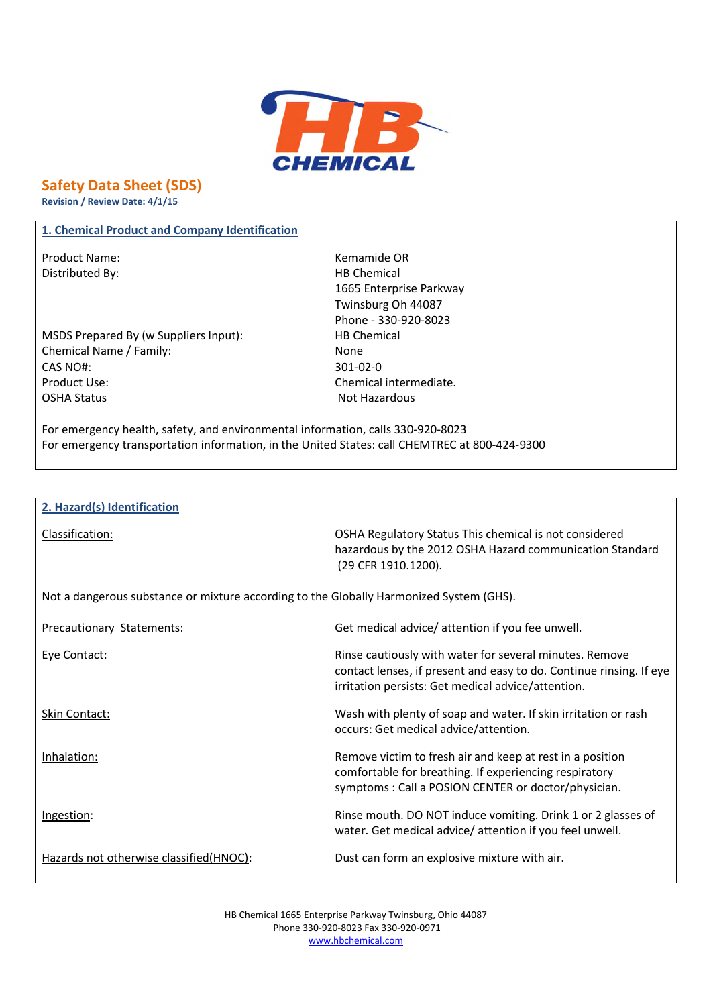

**Safety Data Sheet (SDS)**

**Revision / Review Date: 4/1/15**

## **1. Chemical Product and Company Identification**

Product Name: Name: Example on the Memamide OR Distributed By: Notice and Separate Separate Separate Separate Separate Separate Separate Separate Separate Separate Separate Separate Separate Separate Separate Separate Separate Separate Separate Separate Separate Separa

MSDS Prepared By (w Suppliers Input): HB Chemical Chemical Name / Family: None CAS NO#: 301-02-0 Product Use: Chemical intermediate. OSHA Status Not Hazardous

1665 Enterprise Parkway Twinsburg Oh 44087 Phone - 330-920-8023

For emergency health, safety, and environmental information, calls 330-920-8023 For emergency transportation information, in the United States: call CHEMTREC at 800-424-9300

#### **2. Hazard(s) Identification**

Classification: OSHA Regulatory Status This chemical is not considered hazardous by the 2012 OSHA Hazard communication Standard

Not a dangerous substance or mixture according to the Globally Harmonized System (GHS).

Precautionary Statements: Get medical advice/ attention if you fee unwell.

(29 CFR 1910.1200).

| Eye Contact:                            | Rinse cautiously with water for several minutes. Remove<br>contact lenses, if present and easy to do. Continue rinsing. If eye<br>irritation persists: Get medical advice/attention. |
|-----------------------------------------|--------------------------------------------------------------------------------------------------------------------------------------------------------------------------------------|
| Skin Contact:                           | Wash with plenty of soap and water. If skin irritation or rash<br>occurs: Get medical advice/attention.                                                                              |
| Inhalation:                             | Remove victim to fresh air and keep at rest in a position<br>comfortable for breathing. If experiencing respiratory<br>symptoms: Call a POSION CENTER or doctor/physician.           |
| Ingestion:                              | Rinse mouth. DO NOT induce vomiting. Drink 1 or 2 glasses of<br>water. Get medical advice/attention if you feel unwell.                                                              |
| Hazards not otherwise classified(HNOC): | Dust can form an explosive mixture with air.                                                                                                                                         |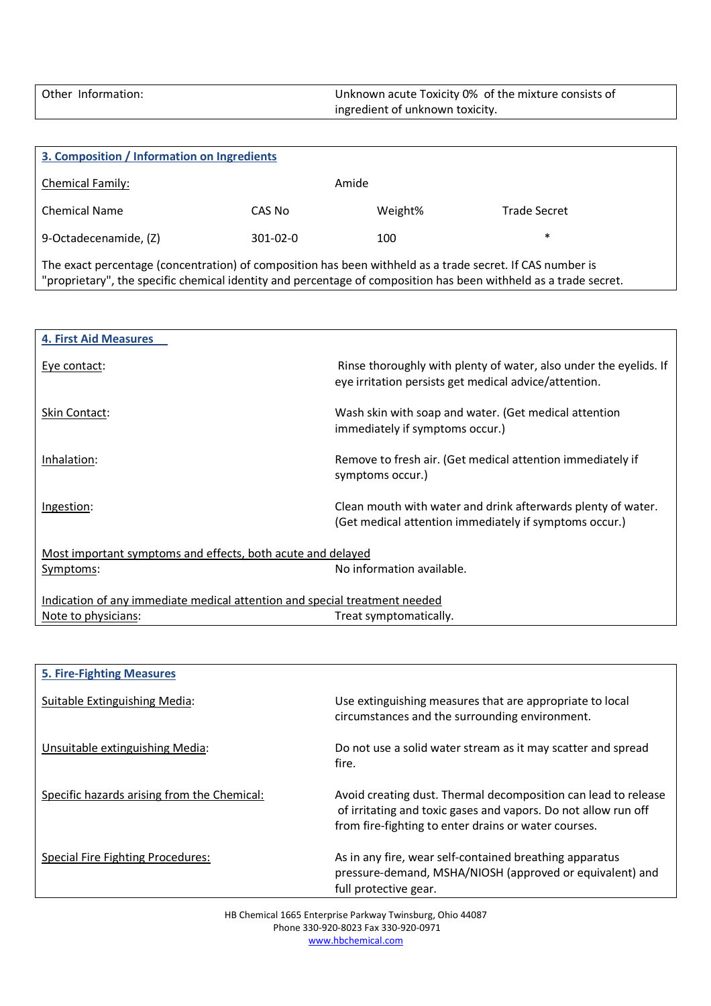Other Information: Unknown acute Toxicity 0% of the mixture consists of ingredient of unknown toxicity.

| 3. Composition / Information on Ingredients                                                                                                                                                                                   |                |         |              |  |  |
|-------------------------------------------------------------------------------------------------------------------------------------------------------------------------------------------------------------------------------|----------------|---------|--------------|--|--|
| Chemical Family:                                                                                                                                                                                                              |                | Amide   |              |  |  |
| <b>Chemical Name</b>                                                                                                                                                                                                          | CAS No         | Weight% | Trade Secret |  |  |
| 9-Octadecenamide, (Z)                                                                                                                                                                                                         | $301 - 02 - 0$ | 100     | $\ast$       |  |  |
| The exact percentage (concentration) of composition has been withheld as a trade secret. If CAS number is<br>"proprietary", the specific chemical identity and percentage of composition has been withheld as a trade secret. |                |         |              |  |  |

| <b>4. First Aid Measures</b>                                               |                                                                                                                            |  |  |
|----------------------------------------------------------------------------|----------------------------------------------------------------------------------------------------------------------------|--|--|
| Eye contact:                                                               | Rinse thoroughly with plenty of water, also under the eyelids. If<br>eye irritation persists get medical advice/attention. |  |  |
| Skin Contact:                                                              | Wash skin with soap and water. (Get medical attention<br>immediately if symptoms occur.)                                   |  |  |
| Inhalation:                                                                | Remove to fresh air. (Get medical attention immediately if<br>symptoms occur.)                                             |  |  |
| Ingestion:                                                                 | Clean mouth with water and drink afterwards plenty of water.<br>(Get medical attention immediately if symptoms occur.)     |  |  |
| Most important symptoms and effects, both acute and delayed                |                                                                                                                            |  |  |
| Symptoms:                                                                  | No information available.                                                                                                  |  |  |
| Indication of any immediate medical attention and special treatment needed |                                                                                                                            |  |  |
| Note to physicians:                                                        | Treat symptomatically.                                                                                                     |  |  |

| <b>5. Fire-Fighting Measures</b>            |                                                                                                                                                                                          |
|---------------------------------------------|------------------------------------------------------------------------------------------------------------------------------------------------------------------------------------------|
| Suitable Extinguishing Media:               | Use extinguishing measures that are appropriate to local<br>circumstances and the surrounding environment.                                                                               |
| Unsuitable extinguishing Media:             | Do not use a solid water stream as it may scatter and spread<br>fire.                                                                                                                    |
| Specific hazards arising from the Chemical: | Avoid creating dust. Thermal decomposition can lead to release<br>of irritating and toxic gases and vapors. Do not allow run off<br>from fire-fighting to enter drains or water courses. |
| Special Fire Fighting Procedures:           | As in any fire, wear self-contained breathing apparatus<br>pressure-demand, MSHA/NIOSH (approved or equivalent) and<br>full protective gear.                                             |

HB Chemical 1665 Enterprise Parkway Twinsburg, Ohio 44087 Phone 330-920-8023 Fax 330-920-0971 www.hbchemical.com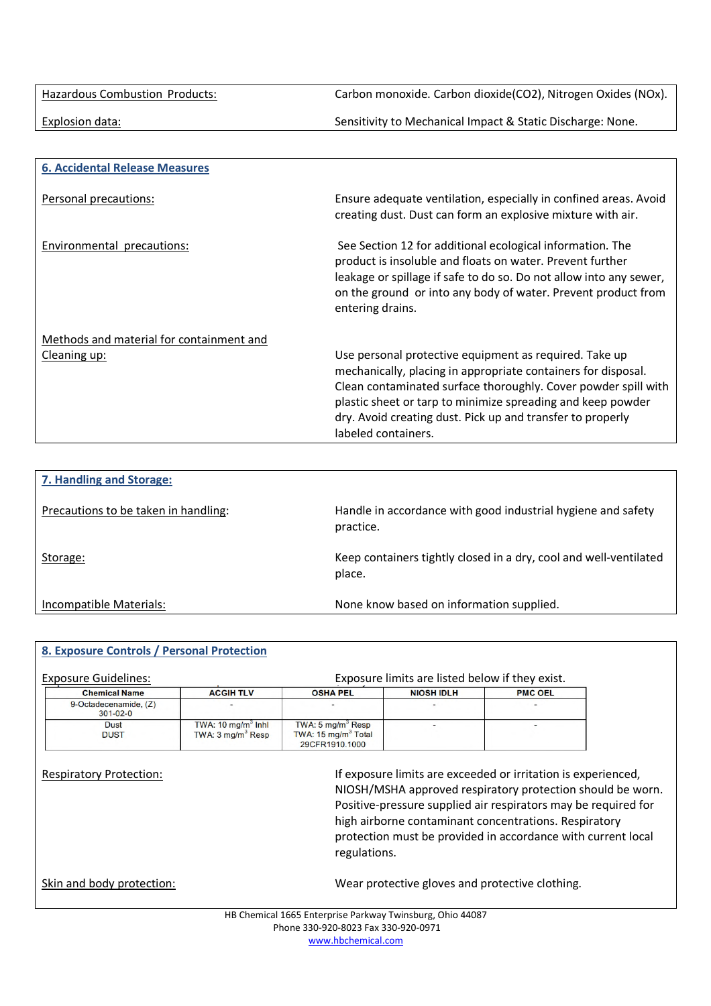Hazardous Combustion Products: Carbon monoxide. Carbon dioxide(CO2), Nitrogen Oxides (NOx).

Explosion data: Sensitivity to Mechanical Impact & Static Discharge: None.

| <b>6. Accidental Release Measures</b>    |                                                                                                                                                                                                                                                                                                                                               |
|------------------------------------------|-----------------------------------------------------------------------------------------------------------------------------------------------------------------------------------------------------------------------------------------------------------------------------------------------------------------------------------------------|
| Personal precautions:                    | Ensure adequate ventilation, especially in confined areas. Avoid<br>creating dust. Dust can form an explosive mixture with air.                                                                                                                                                                                                               |
| Environmental precautions:               | See Section 12 for additional ecological information. The<br>product is insoluble and floats on water. Prevent further<br>leakage or spillage if safe to do so. Do not allow into any sewer,<br>on the ground or into any body of water. Prevent product from<br>entering drains.                                                             |
| Methods and material for containment and |                                                                                                                                                                                                                                                                                                                                               |
| Cleaning up:                             | Use personal protective equipment as required. Take up<br>mechanically, placing in appropriate containers for disposal.<br>Clean contaminated surface thoroughly. Cover powder spill with<br>plastic sheet or tarp to minimize spreading and keep powder<br>dry. Avoid creating dust. Pick up and transfer to properly<br>labeled containers. |

| 7. Handling and Storage:             |                                                                             |
|--------------------------------------|-----------------------------------------------------------------------------|
| Precautions to be taken in handling: | Handle in accordance with good industrial hygiene and safety<br>practice.   |
| Storage:                             | Keep containers tightly closed in a dry, cool and well-ventilated<br>place. |
| Incompatible Materials:              | None know based on information supplied.                                    |

## **8. Exposure Controls / Personal Protection**

| <b>Chemical Name</b>                    | <b>ACGIH TLV</b>                                     | <b>OSHA PEL</b>                                                                  | <b>NIOSH IDLH</b>                                                                                                            | <b>PMC OEL</b>                                        |
|-----------------------------------------|------------------------------------------------------|----------------------------------------------------------------------------------|------------------------------------------------------------------------------------------------------------------------------|-------------------------------------------------------|
| 9-Octadecenamide, (Z)<br>$301 - 02 - 0$ |                                                      |                                                                                  |                                                                                                                              |                                                       |
| <b>Dust</b><br><b>DUST</b>              | TWA: 10 $mg/m3$ Inhi<br>TWA: $3 \text{ mq/m}^3$ Resp | TWA: $5 \text{ mg/m}^3$ Resp<br>TWA: $15 \text{ mg/m}^3$ Total<br>29CFR1910.1000 |                                                                                                                              |                                                       |
|                                         |                                                      |                                                                                  | NIOSH/MSHA approved respiratory protection should be worn.<br>Positive-pressure supplied air respirators may be required for | high airborne contaminant concentrations. Respiratory |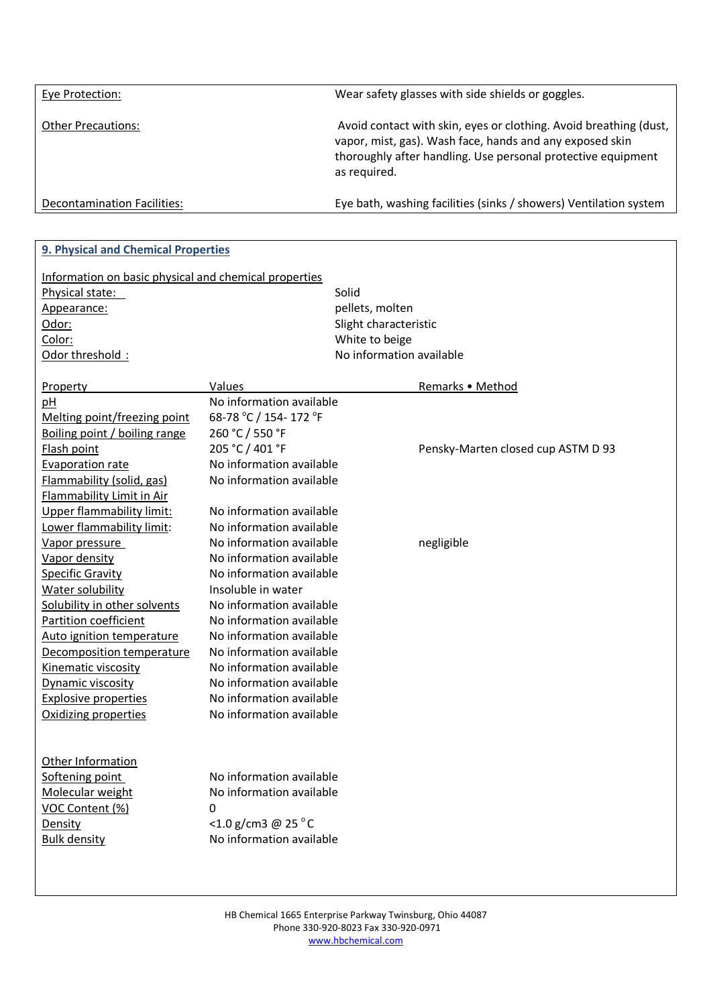| Eye Protection:             | Wear safety glasses with side shields or goggles.                                                                                                                                                             |
|-----------------------------|---------------------------------------------------------------------------------------------------------------------------------------------------------------------------------------------------------------|
| <b>Other Precautions:</b>   | Avoid contact with skin, eyes or clothing. Avoid breathing (dust,<br>vapor, mist, gas). Wash face, hands and any exposed skin<br>thoroughly after handling. Use personal protective equipment<br>as required. |
| Decontamination Facilities: | Eye bath, washing facilities (sinks / showers) Ventilation system                                                                                                                                             |

| 9. Physical and Chemical Properties                   |                          |                                    |
|-------------------------------------------------------|--------------------------|------------------------------------|
| Information on basic physical and chemical properties |                          |                                    |
| Physical state:                                       |                          | Solid                              |
| Appearance:                                           |                          | pellets, molten                    |
| Odor:                                                 |                          | Slight characteristic              |
| Color:                                                |                          | White to beige                     |
| Odor threshold:                                       |                          | No information available           |
|                                                       |                          |                                    |
| Property                                              | Values                   | Remarks • Method                   |
| pH                                                    | No information available |                                    |
| Melting point/freezing point                          | 68-78 °C / 154-172 °F    |                                    |
| Boiling point / boiling range                         | 260 °C / 550 °F          |                                    |
| Flash point                                           | 205 °C / 401 °F          | Pensky-Marten closed cup ASTM D 93 |
| <b>Evaporation rate</b>                               | No information available |                                    |
| Flammability (solid, gas)                             | No information available |                                    |
| Flammability Limit in Air                             |                          |                                    |
| Upper flammability limit:                             | No information available |                                    |
| Lower flammability limit:                             | No information available |                                    |
| Vapor pressure                                        | No information available | negligible                         |
| Vapor density                                         | No information available |                                    |
| <b>Specific Gravity</b>                               | No information available |                                    |
| Water solubility                                      | Insoluble in water       |                                    |
| Solubility in other solvents                          | No information available |                                    |
| Partition coefficient                                 | No information available |                                    |
| Auto ignition temperature                             | No information available |                                    |
| Decomposition temperature                             | No information available |                                    |
| Kinematic viscosity                                   | No information available |                                    |
| Dynamic viscosity                                     | No information available |                                    |
| <b>Explosive properties</b>                           | No information available |                                    |
| Oxidizing properties                                  | No information available |                                    |
|                                                       |                          |                                    |
|                                                       |                          |                                    |
| Other Information                                     |                          |                                    |
| Softening point                                       | No information available |                                    |
| Molecular weight                                      | No information available |                                    |
| VOC Content (%)                                       | 0                        |                                    |
| Density                                               | <1.0 g/cm3 @ 25 °C       |                                    |
| <b>Bulk density</b>                                   | No information available |                                    |
|                                                       |                          |                                    |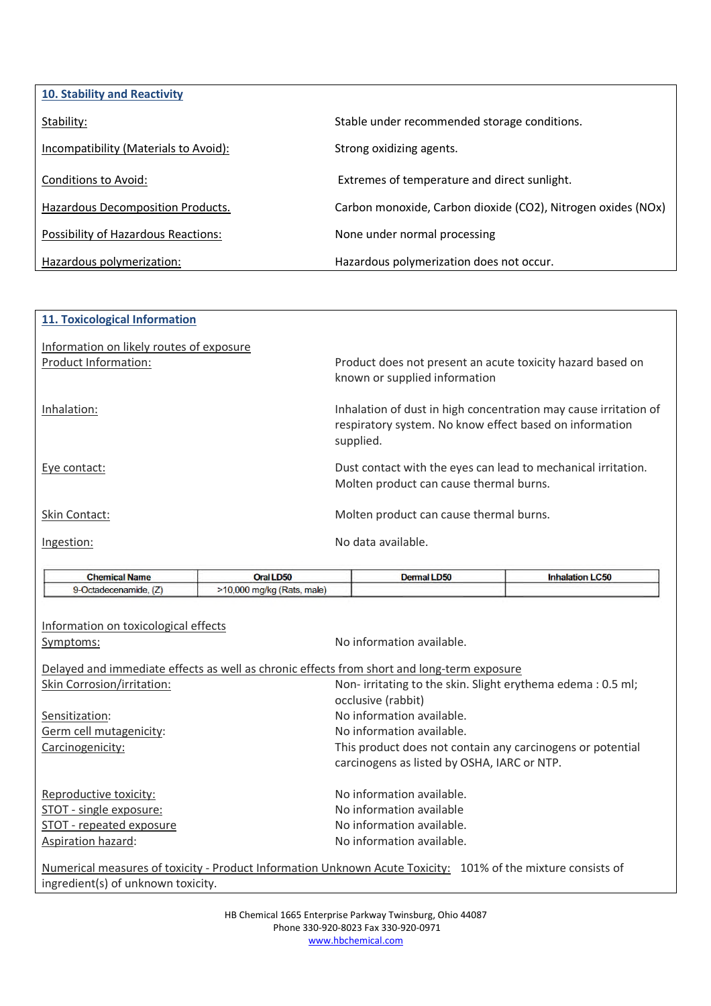| <b>10. Stability and Reactivity</b>   |                                                              |
|---------------------------------------|--------------------------------------------------------------|
| Stability:                            | Stable under recommended storage conditions.                 |
| Incompatibility (Materials to Avoid): | Strong oxidizing agents.                                     |
| Conditions to Avoid:                  | Extremes of temperature and direct sunlight.                 |
| Hazardous Decomposition Products.     | Carbon monoxide, Carbon dioxide (CO2), Nitrogen oxides (NOx) |
| Possibility of Hazardous Reactions:   | None under normal processing                                 |
| Hazardous polymerization:             | Hazardous polymerization does not occur.                     |

| 11. Toxicological Information                                    |                                                                                                                                          |
|------------------------------------------------------------------|------------------------------------------------------------------------------------------------------------------------------------------|
| Information on likely routes of exposure<br>Product Information: | Product does not present an acute toxicity hazard based on<br>known or supplied information                                              |
| Inhalation:                                                      | Inhalation of dust in high concentration may cause irritation of<br>respiratory system. No know effect based on information<br>supplied. |
| Eye contact:                                                     | Dust contact with the eyes can lead to mechanical irritation.<br>Molten product can cause thermal burns.                                 |
| Skin Contact:                                                    | Molten product can cause thermal burns.                                                                                                  |
| Ingestion:                                                       | No data available.                                                                                                                       |

| <b>Chemical Name</b>  | Oral LD50                  | Dermal LD50 | <b>Inhalation LC50</b> |
|-----------------------|----------------------------|-------------|------------------------|
| 9-Octadecenamide, (Z) | >10,000 mg/kg (Rats, male) |             |                        |

| Information on toxicological effects<br>Symptoms: | No information available.                                                                                                                                                                                                          |
|---------------------------------------------------|------------------------------------------------------------------------------------------------------------------------------------------------------------------------------------------------------------------------------------|
|                                                   | Delayed and immediate effects as well as chronic effects from short and long-term exposure                                                                                                                                         |
| Skin Corrosion/irritation:                        | Non-irritating to the skin. Slight erythema edema: 0.5 ml;<br>occlusive (rabbit)                                                                                                                                                   |
| Sensitization:                                    | No information available.                                                                                                                                                                                                          |
| Germ cell mutagenicity:                           | No information available.                                                                                                                                                                                                          |
| Carcinogenicity:                                  | This product does not contain any carcinogens or potential<br>carcinogens as listed by OSHA, IARC or NTP.                                                                                                                          |
| Reproductive toxicity:                            | No information available.                                                                                                                                                                                                          |
| STOT - single exposure:                           | No information available                                                                                                                                                                                                           |
| STOT - repeated exposure                          | No information available.                                                                                                                                                                                                          |
| <b>Aspiration hazard:</b>                         | No information available.                                                                                                                                                                                                          |
|                                                   | $\mathcal{L}$ , and a set of the set of the set of the set of the set of the set of the set of the set of the set of the set of the set of the set of the set of the set of the set of the set of the set of the set of the set of |

Numerical measures of toxicity - Product Information Unknown Acute Toxicity: 101% of the mixture consists of ingredient(s) of unknown toxicity.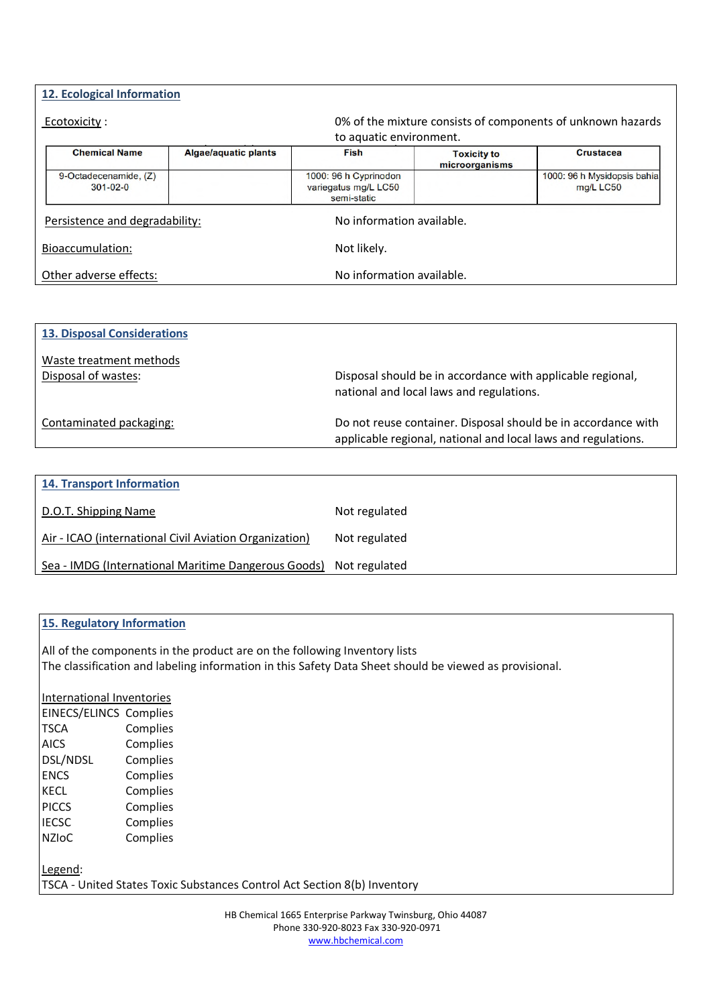## **12. Ecological Information**

| Ecotoxicity :                           | 0% of the mixture consists of components of unknown hazards |                                                              |                                      |                                          |  |
|-----------------------------------------|-------------------------------------------------------------|--------------------------------------------------------------|--------------------------------------|------------------------------------------|--|
|                                         |                                                             | to aquatic environment.                                      |                                      |                                          |  |
| <b>Chemical Name</b>                    | <b>Algae/aquatic plants</b>                                 | <b>Fish</b>                                                  | <b>Toxicity to</b><br>microorganisms | <b>Crustacea</b>                         |  |
| 9-Octadecenamide, (Z)<br>$301 - 02 - 0$ |                                                             | 1000: 96 h Cyprinodon<br>variegatus mg/L LC50<br>semi-static |                                      | 1000: 96 h Mysidopsis bahia<br>mg/L LC50 |  |
| Persistence and degradability:          |                                                             | No information available.                                    |                                      |                                          |  |
| Bioaccumulation:                        |                                                             | Not likely.                                                  |                                      |                                          |  |
| Other adverse effects:                  | No information available.                                   |                                                              |                                      |                                          |  |

| <b>13. Disposal Considerations</b> |                                                                                                                                |
|------------------------------------|--------------------------------------------------------------------------------------------------------------------------------|
| Waste treatment methods            |                                                                                                                                |
| Disposal of wastes:                | Disposal should be in accordance with applicable regional,<br>national and local laws and regulations.                         |
| Contaminated packaging:            | Do not reuse container. Disposal should be in accordance with<br>applicable regional, national and local laws and regulations. |
|                                    |                                                                                                                                |

| <b>14. Transport Information</b>                       |               |
|--------------------------------------------------------|---------------|
| D.O.T. Shipping Name                                   | Not regulated |
| Air - ICAO (international Civil Aviation Organization) | Not regulated |
| Sea - IMDG (International Maritime Dangerous Goods)    | Not regulated |

## **15. Regulatory Information**

All of the components in the product are on the following Inventory lists The classification and labeling information in this Safety Data Sheet should be viewed as provisional.

International Inventories EINECS/ELINCS Complies TSCA Complies AICS Complies DSL/NDSL Complies ENCS Complies KECL Complies PICCS Complies IECSC Complies NZIoC Complies

Legend: TSCA - United States Toxic Substances Control Act Section 8(b) Inventory